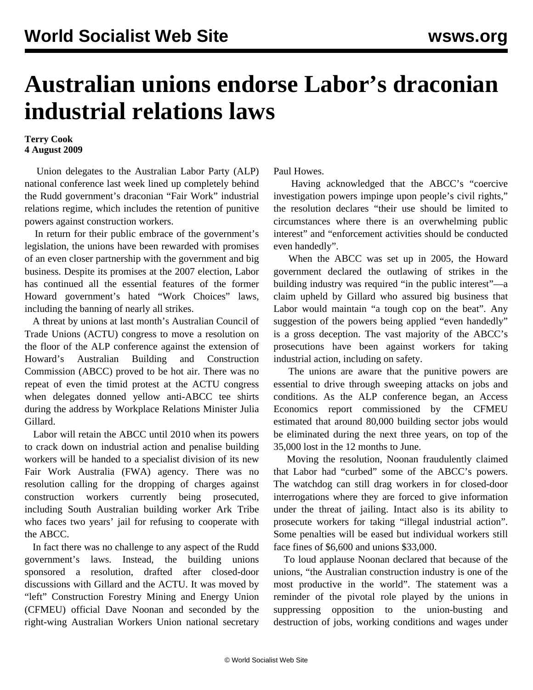## **Australian unions endorse Labor's draconian industrial relations laws**

## **Terry Cook 4 August 2009**

 Union delegates to the Australian Labor Party (ALP) national conference last week lined up completely behind the Rudd government's draconian "Fair Work" industrial relations regime, which includes the retention of punitive powers against construction workers.

 In return for their public embrace of the government's legislation, the unions have been rewarded with promises of an even closer partnership with the government and big business. Despite its promises at the 2007 election, Labor has continued all the essential features of the former Howard government's hated "Work Choices" laws, including the banning of nearly all strikes.

 A threat by unions at last month's Australian Council of Trade Unions (ACTU) congress to move a resolution on the floor of the ALP conference against the extension of Howard's Australian Building and Construction Commission (ABCC) proved to be hot air. There was no repeat of even the timid protest at the ACTU congress when delegates donned yellow anti-ABCC tee shirts during the address by Workplace Relations Minister Julia Gillard.

 Labor will retain the ABCC until 2010 when its powers to crack down on industrial action and penalise building workers will be handed to a specialist division of its new Fair Work Australia (FWA) agency. There was no resolution calling for the dropping of charges against construction workers currently being prosecuted, including South Australian building worker Ark Tribe who faces two years' jail for refusing to cooperate with the ABCC.

 In fact there was no challenge to any aspect of the Rudd government's laws. Instead, the building unions sponsored a resolution, drafted after closed-door discussions with Gillard and the ACTU. It was moved by "left" Construction Forestry Mining and Energy Union (CFMEU) official Dave Noonan and seconded by the right-wing Australian Workers Union national secretary

Paul Howes.

 Having acknowledged that the ABCC's "coercive investigation powers impinge upon people's civil rights," the resolution declares "their use should be limited to circumstances where there is an overwhelming public interest" and "enforcement activities should be conducted even handedly".

 When the ABCC was set up in 2005, the Howard government declared the outlawing of strikes in the building industry was required "in the public interest"—a claim upheld by Gillard who assured big business that Labor would maintain "a tough cop on the beat". Any suggestion of the powers being applied "even handedly" is a gross deception. The vast majority of the ABCC's prosecutions have been against workers for taking industrial action, including on safety.

 The unions are aware that the punitive powers are essential to drive through sweeping attacks on jobs and conditions. As the ALP conference began, an Access Economics report commissioned by the CFMEU estimated that around 80,000 building sector jobs would be eliminated during the next three years, on top of the 35,000 lost in the 12 months to June.

 Moving the resolution, Noonan fraudulently claimed that Labor had "curbed" some of the ABCC's powers. The watchdog can still drag workers in for closed-door interrogations where they are forced to give information under the threat of jailing. Intact also is its ability to prosecute workers for taking "illegal industrial action". Some penalties will be eased but individual workers still face fines of \$6,600 and unions \$33,000.

 To loud applause Noonan declared that because of the unions, "the Australian construction industry is one of the most productive in the world". The statement was a reminder of the pivotal role played by the unions in suppressing opposition to the union-busting and destruction of jobs, working conditions and wages under